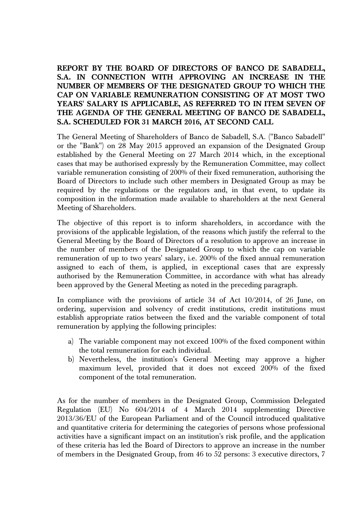## **REPORT BY THE BOARD OF DIRECTORS OF BANCO DE SABADELL, S.A. IN CONNECTION WITH APPROVING AN INCREASE IN THE NUMBER OF MEMBERS OF THE DESIGNATED GROUP TO WHICH THE CAP ON VARIABLE REMUNERATION CONSISTING OF AT MOST TWO YEARS' SALARY IS APPLICABLE, AS REFERRED TO IN ITEM SEVEN OF THE AGENDA OF THE GENERAL MEETING OF BANCO DE SABADELL, S.A. SCHEDULED FOR 31 MARCH 2016, AT SECOND CALL**

The General Meeting of Shareholders of Banco de Sabadell, S.A. ("Banco Sabadell" or the "Bank") on 28 May 2015 approved an expansion of the Designated Group established by the General Meeting on 27 March 2014 which, in the exceptional cases that may be authorised expressly by the Remuneration Committee, may collect variable remuneration consisting of 200% of their fixed remuneration, authorising the Board of Directors to include such other members in Designated Group as may be required by the regulations or the regulators and, in that event, to update its composition in the information made available to shareholders at the next General Meeting of Shareholders.

The objective of this report is to inform shareholders, in accordance with the provisions of the applicable legislation, of the reasons which justify the referral to the General Meeting by the Board of Directors of a resolution to approve an increase in the number of members of the Designated Group to which the cap on variable remuneration of up to two years' salary, i.e. 200% of the fixed annual remuneration assigned to each of them, is applied, in exceptional cases that are expressly authorised by the Remuneration Committee, in accordance with what has already been approved by the General Meeting as noted in the preceding paragraph.

In compliance with the provisions of article 34 of Act 10/2014, of 26 June, on ordering, supervision and solvency of credit institutions, credit institutions must establish appropriate ratios between the fixed and the variable component of total remuneration by applying the following principles:

- a) The variable component may not exceed 100% of the fixed component within the total remuneration for each individual.
- b) Nevertheless, the institution's General Meeting may approve a higher maximum level, provided that it does not exceed 200% of the fixed component of the total remuneration.

As for the number of members in the Designated Group, Commission Delegated Regulation (EU) No 604/2014 of 4 March 2014 supplementing Directive 2013/36/EU of the European Parliament and of the Council introduced qualitative and quantitative criteria for determining the categories of persons whose professional activities have a significant impact on an institution's risk profile, and the application of these criteria has led the Board of Directors to approve an increase in the number of members in the Designated Group, from 46 to 52 persons: 3 executive directors, 7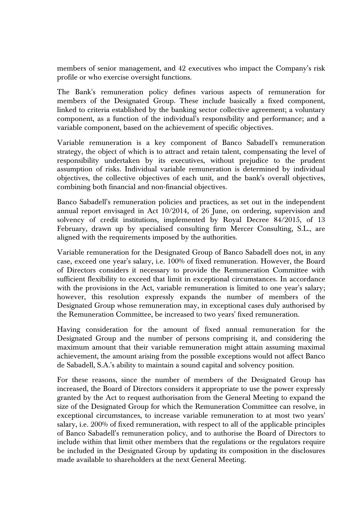members of senior management, and 42 executives who impact the Company's risk profile or who exercise oversight functions.

The Bank's remuneration policy defines various aspects of remuneration for members of the Designated Group. These include basically a fixed component, linked to criteria established by the banking sector collective agreement; a voluntary component, as a function of the individual's responsibility and performance; and a variable component, based on the achievement of specific objectives.

Variable remuneration is a key component of Banco Sabadell's remuneration strategy, the object of which is to attract and retain talent, compensating the level of responsibility undertaken by its executives, without prejudice to the prudent assumption of risks. Individual variable remuneration is determined by individual objectives, the collective objectives of each unit, and the bank's overall objectives, combining both financial and non-financial objectives.

Banco Sabadell's remuneration policies and practices, as set out in the independent annual report envisaged in Act 10/2014, of 26 June, on ordering, supervision and solvency of credit institutions, implemented by Royal Decree 84/2015, of 13 February, drawn up by specialised consulting firm Mercer Consulting, S.L., are aligned with the requirements imposed by the authorities.

Variable remuneration for the Designated Group of Banco Sabadell does not, in any case, exceed one year's salary, i.e. 100% of fixed remuneration. However, the Board of Directors considers it necessary to provide the Remuneration Committee with sufficient flexibility to exceed that limit in exceptional circumstances. In accordance with the provisions in the Act, variable remuneration is limited to one year's salary; however, this resolution expressly expands the number of members of the Designated Group whose remuneration may, in exceptional cases duly authorised by the Remuneration Committee, be increased to two years' fixed remuneration.

Having consideration for the amount of fixed annual remuneration for the Designated Group and the number of persons comprising it, and considering the maximum amount that their variable remuneration might attain assuming maximal achievement, the amount arising from the possible exceptions would not affect Banco de Sabadell, S.A.'s ability to maintain a sound capital and solvency position.

For these reasons, since the number of members of the Designated Group has increased, the Board of Directors considers it appropriate to use the power expressly granted by the Act to request authorisation from the General Meeting to expand the size of the Designated Group for which the Remuneration Committee can resolve, in exceptional circumstances, to increase variable remuneration to at most two years' salary, i.e. 200% of fixed remuneration, with respect to all of the applicable principles of Banco Sabadell's remuneration policy, and to authorise the Board of Directors to include within that limit other members that the regulations or the regulators require be included in the Designated Group by updating its composition in the disclosures made available to shareholders at the next General Meeting.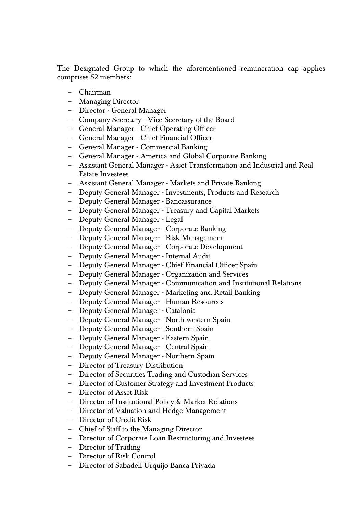The Designated Group to which the aforementioned remuneration cap applies comprises 52 members:

- − Chairman
- − Managing Director
- − Director General Manager
- − Company Secretary Vice-Secretary of the Board
- − General Manager Chief Operating Officer
- − General Manager Chief Financial Officer
- − General Manager Commercial Banking
- − General Manager America and Global Corporate Banking
- − Assistant General Manager Asset Transformation and Industrial and Real Estate Investees
- − Assistant General Manager Markets and Private Banking
- − Deputy General Manager Investments, Products and Research
- − Deputy General Manager Bancassurance
- − Deputy General Manager Treasury and Capital Markets
- − Deputy General Manager Legal
- − Deputy General Manager Corporate Banking
- − Deputy General Manager Risk Management
- − Deputy General Manager Corporate Development
- − Deputy General Manager Internal Audit
- − Deputy General Manager Chief Financial Officer Spain
- − Deputy General Manager Organization and Services
- − Deputy General Manager Communication and Institutional Relations
- − Deputy General Manager Marketing and Retail Banking
- − Deputy General Manager Human Resources
- − Deputy General Manager Catalonia
- − Deputy General Manager North-western Spain
- − Deputy General Manager Southern Spain
- − Deputy General Manager Eastern Spain
- − Deputy General Manager Central Spain
- − Deputy General Manager Northern Spain
- − Director of Treasury Distribution
- − Director of Securities Trading and Custodian Services
- − Director of Customer Strategy and Investment Products
- − Director of Asset Risk
- − Director of Institutional Policy & Market Relations
- − Director of Valuation and Hedge Management
- − Director of Credit Risk
- − Chief of Staff to the Managing Director
- − Director of Corporate Loan Restructuring and Investees
- − Director of Trading
- − Director of Risk Control
- − Director of Sabadell Urquijo Banca Privada